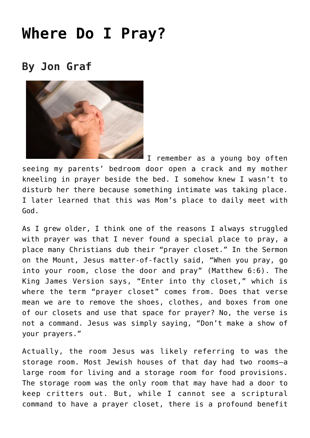# **[Where Do I Pray?](https://www.prayerleader.com/where-do-i-pray/)**

# **By Jon Graf**



I remember as a young boy often seeing my parents' bedroom door open a crack and my mother kneeling in prayer beside the bed. I somehow knew I wasn't to disturb her there because something intimate was taking place. I later learned that this was Mom's place to daily meet with God.

As I grew older, I think one of the reasons I always struggled with prayer was that I never found a special place to pray, a place many Christians dub their "prayer closet." In the Sermon on the Mount, Jesus matter-of-factly said, "When you pray, go into your room, close the door and pray" (Matthew 6:6). The King James Version says, "Enter into thy closet," which is where the term "prayer closet" comes from. Does that verse mean we are to remove the shoes, clothes, and boxes from one of our closets and use that space for prayer? No, the verse is not a command. Jesus was simply saying, "Don't make a show of your prayers."

Actually, the room Jesus was likely referring to was the storage room. Most Jewish houses of that day had two rooms—a large room for living and a storage room for food provisions. The storage room was the only room that may have had a door to keep critters out. But, while I cannot see a scriptural command to have a prayer closet, there is a profound benefit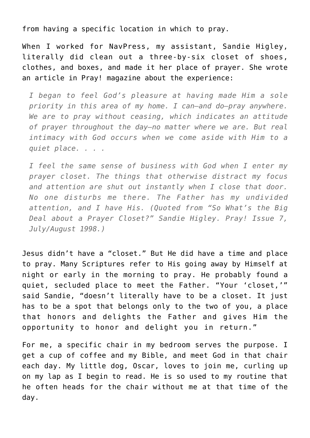from having a specific location in which to pray.

When I worked for NavPress, my assistant, Sandie Higley, literally did clean out a three-by-six closet of shoes, clothes, and boxes, and made it her place of prayer. She wrote an article in Pray! magazine about the experience:

*I began to feel God's pleasure at having made Him a sole priority in this area of my home. I can—and do—pray anywhere. We are to pray without ceasing, which indicates an attitude of prayer throughout the day—no matter where we are. But real intimacy with God occurs when we come aside with Him to a quiet place. . . .*

*I feel the same sense of business with God when I enter my prayer closet. The things that otherwise distract my focus and attention are shut out instantly when I close that door. No one disturbs me there. The Father has my undivided attention, and I have His. (Quoted from "So What's the Big Deal about a Prayer Closet?" Sandie Higley. Pray! Issue 7, July/August 1998.)*

Jesus didn't have a "closet." But He did have a time and place to pray. Many Scriptures refer to His going away by Himself at night or early in the morning to pray. He probably found a quiet, secluded place to meet the Father. "Your 'closet,'" said Sandie, "doesn't literally have to be a closet. It just has to be a spot that belongs only to the two of you, a place that honors and delights the Father and gives Him the opportunity to honor and delight you in return."

For me, a specific chair in my bedroom serves the purpose. I get a cup of coffee and my Bible, and meet God in that chair each day. My little dog, Oscar, loves to join me, curling up on my lap as I begin to read. He is so used to my routine that he often heads for the chair without me at that time of the day.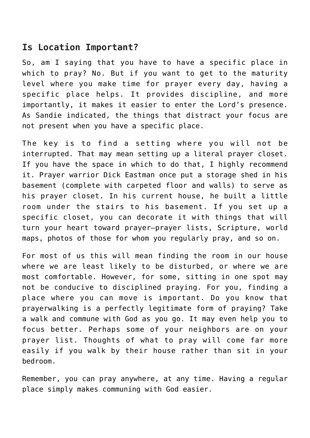## **Is Location Important?**

So, am I saying that you have to have a specific place in which to pray? No. But if you want to get to the maturity level where you make time for prayer every day, having a specific place helps. It provides discipline, and more importantly, it makes it easier to enter the Lord's presence. As Sandie indicated, the things that distract your focus are not present when you have a specific place.

The key is to find a setting where you will not be interrupted. That may mean setting up a literal prayer closet. If you have the space in which to do that, I highly recommend it. Prayer warrior Dick Eastman once put a storage shed in his basement (complete with carpeted floor and walls) to serve as his prayer closet. In his current house, he built a little room under the stairs to his basement. If you set up a specific closet, you can decorate it with things that will turn your heart toward prayer—prayer lists, Scripture, world maps, photos of those for whom you regularly pray, and so on.

For most of us this will mean finding the room in our house where we are least likely to be disturbed, or where we are most comfortable. However, for some, sitting in one spot may not be conducive to disciplined praying. For you, finding a place where you can move is important. Do you know that prayerwalking is a perfectly legitimate form of praying? Take a walk and commune with God as you go. It may even help you to focus better. Perhaps some of your neighbors are on your prayer list. Thoughts of what to pray will come far more easily if you walk by their house rather than sit in your bedroom.

Remember, you can pray anywhere, at any time. Having a regular place simply makes communing with God easier.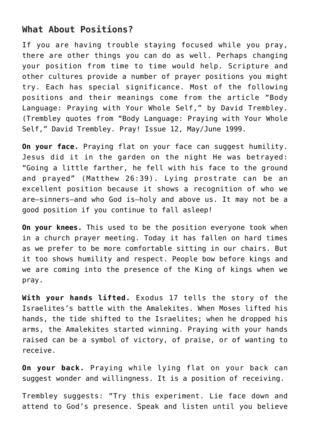### **What About Positions?**

If you are having trouble staying focused while you pray, there are other things you can do as well. Perhaps changing your position from time to time would help. Scripture and other cultures provide a number of prayer positions you might try. Each has special significance. Most of the following positions and their meanings come from the article "Body Language: Praying with Your Whole Self," by David Trembley. (Trembley quotes from "Body Language: Praying with Your Whole Self," David Trembley. Pray! Issue 12, May/June 1999.

**On your face.** Praying flat on your face can suggest humility. Jesus did it in the garden on the night He was betrayed: "Going a little farther, he fell with his face to the ground and prayed" (Matthew 26:39). Lying prostrate can be an excellent position because it shows a recognition of who we are—sinners—and who God is—holy and above us. It may not be a good position if you continue to fall asleep!

**On your knees.** This used to be the position everyone took when in a church prayer meeting. Today it has fallen on hard times as we prefer to be more comfortable sitting in our chairs. But it too shows humility and respect. People bow before kings and we are coming into the presence of the King of kings when we pray.

**With your hands lifted.** Exodus 17 tells the story of the Israelites's battle with the Amalekites. When Moses lifted his hands, the tide shifted to the Israelites; when he dropped his arms, the Amalekites started winning. Praying with your hands raised can be a symbol of victory, of praise, or of wanting to receive.

**On your back.** Praying while lying flat on your back can suggest wonder and willingness. It is a position of receiving.

Trembley suggests: "Try this experiment. Lie face down and attend to God's presence. Speak and listen until you believe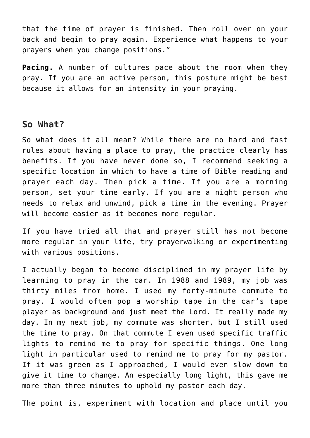that the time of prayer is finished. Then roll over on your back and begin to pray again. Experience what happens to your prayers when you change positions."

**Pacing.** A number of cultures pace about the room when they pray. If you are an active person, this posture might be best because it allows for an intensity in your praying.

#### **So What?**

So what does it all mean? While there are no hard and fast rules about having a place to pray, the practice clearly has benefits. If you have never done so, I recommend seeking a specific location in which to have a time of Bible reading and prayer each day. Then pick a time. If you are a morning person, set your time early. If you are a night person who needs to relax and unwind, pick a time in the evening. Prayer will become easier as it becomes more regular.

If you have tried all that and prayer still has not become more regular in your life, try prayerwalking or experimenting with various positions.

I actually began to become disciplined in my prayer life by learning to pray in the car. In 1988 and 1989, my job was thirty miles from home. I used my forty-minute commute to pray. I would often pop a worship tape in the car's tape player as background and just meet the Lord. It really made my day. In my next job, my commute was shorter, but I still used the time to pray. On that commute I even used specific traffic lights to remind me to pray for specific things. One long light in particular used to remind me to pray for my pastor. If it was green as I approached, I would even slow down to give it time to change. An especially long light, this gave me more than three minutes to uphold my pastor each day.

The point is, experiment with location and place until you